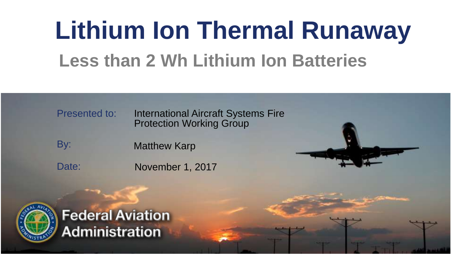#### **Lithium Ion Thermal Runaway Less than 2 Wh Lithium Ion Batteries**

Presented to: International Aircraft Systems Fire Protection Working Group

By: Matthew Karp

November 1, 2017



Date:

**Federal Aviation Administration**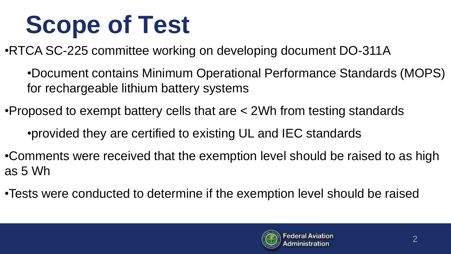# **Scope of Test**

•RTCA SC-225 committee working on developing document DO-311A

•Document contains Minimum Operational Performance Standards (MOPS) for rechargeable lithium battery systems

•Proposed to exempt battery cells that are < 2Wh from testing standards •provided they are certified to existing UL and IEC standards

- •Comments were received that the exemption level should be raised to as high as 5 Wh
- •Tests were conducted to determine if the exemption level should be raised

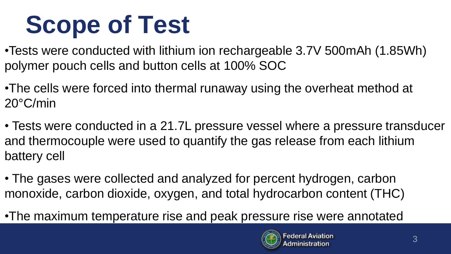# **Scope of Test**

- •Tests were conducted with lithium ion rechargeable 3.7V 500mAh (1.85Wh) polymer pouch cells and button cells at 100% SOC
- •The cells were forced into thermal runaway using the overheat method at 20°C/min
- Tests were conducted in a 21.7L pressure vessel where a pressure transducer and thermocouple were used to quantify the gas release from each lithium battery cell
- The gases were collected and analyzed for percent hydrogen, carbon monoxide, carbon dioxide, oxygen, and total hydrocarbon content (THC)
- •The maximum temperature rise and peak pressure rise were annotated

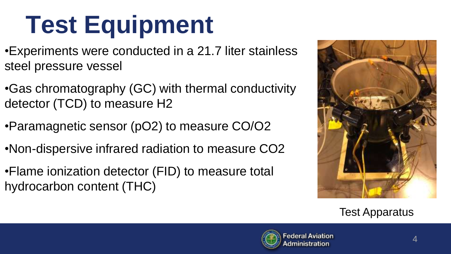# **Test Equipment**

- •Experiments were conducted in a 21.7 liter stainless steel pressure vessel
- •Gas chromatography (GC) with thermal conductivity detector (TCD) to measure H2
- •Paramagnetic sensor (pO2) to measure CO/O2
- •Non-dispersive infrared radiation to measure CO2
- •Flame ionization detector (FID) to measure total hydrocarbon content (THC)



Test Apparatus

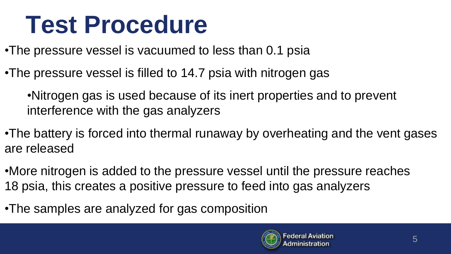#### **Test Procedure**

- •The pressure vessel is vacuumed to less than 0.1 psia
- •The pressure vessel is filled to 14.7 psia with nitrogen gas
	- •Nitrogen gas is used because of its inert properties and to prevent interference with the gas analyzers
- •The battery is forced into thermal runaway by overheating and the vent gases are released
- •More nitrogen is added to the pressure vessel until the pressure reaches 18 psia, this creates a positive pressure to feed into gas analyzers
- •The samples are analyzed for gas composition

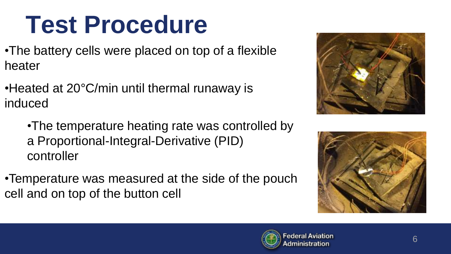### **Test Procedure**

- •The battery cells were placed on top of a flexible heater
- •Heated at 20°C/min until thermal runaway is induced
	- •The temperature heating rate was controlled by a Proportional-Integral-Derivative (PID) controller
- •Temperature was measured at the side of the pouch cell and on top of the button cell





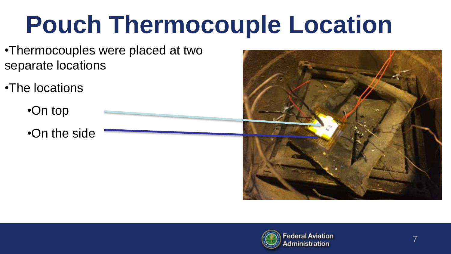# **Pouch Thermocouple Location**

- •Thermocouples were placed at two separate locations
- •The locations
	- •On top
	- •On the side



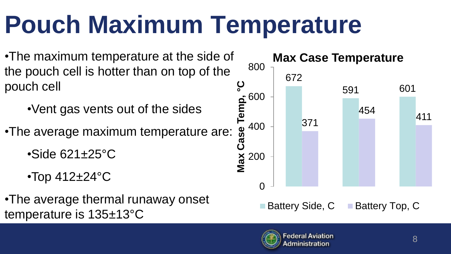## **Pouch Maximum Temperature**

- •The maximum temperature at the side of the pouch cell is hotter than on top of the pouch cell
	- •Vent gas vents out of the sides
- •The average maximum temperature are:
	- $\cdot$ Side 621 $\pm$ 25 $\circ$ C
	- •Top 412±24°C
- •The average thermal runaway onset temperature is 135±13°C



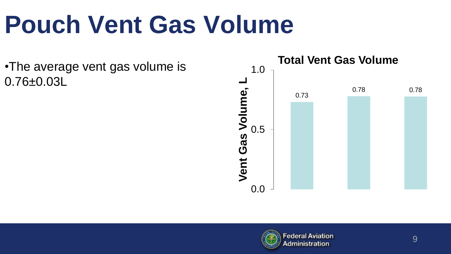# **Pouch Vent Gas Volume**

•The average vent gas volume is 0.76±0.03L



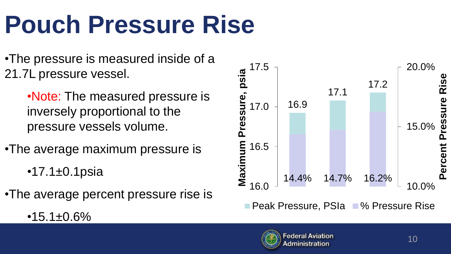# **Pouch Pressure Rise**

•The pressure is measured inside of a 21.7L pressure vessel.

> •Note: The measured pressure is inversely proportional to the pressure vessels volume.

•The average maximum pressure is

• $17.1 \pm 0.1$ psia

 $•15.1±0.6%$ 

•The average percent pressure rise is



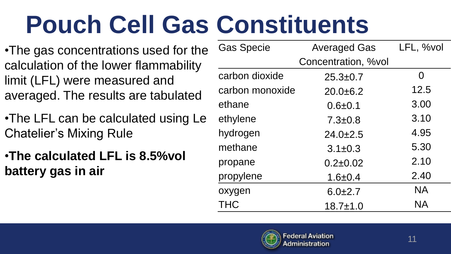# **Pouch Cell Gas Constituents**

- •The gas concentrations used for the calculation of the lower flammability limit (LFL) were measured and averaged. The results are tabulated
- •The LFL can be calculated using Le Chatelier's Mixing Rule
- •**The calculated LFL is 8.5%vol battery gas in air**

| <b>Gas Specie</b> | <b>Averaged Gas</b> | LFL, %vol |
|-------------------|---------------------|-----------|
|                   | Concentration, %vol |           |
| carbon dioxide    | $25.3 \pm 0.7$      | 0         |
| carbon monoxide   | $20.0 + 6.2$        | 12.5      |
| ethane            | $0.6 + 0.1$         | 3.00      |
| ethylene          | $7.3 \pm 0.8$       | 3.10      |
| hydrogen          | $24.0 \pm 2.5$      | 4.95      |
| methane           | $3.1 \pm 0.3$       | 5.30      |
| propane           | $0.2 \pm 0.02$      | 2.10      |
| propylene         | $1.6 + 0.4$         | 2.40      |
| oxygen            | $6.0 \pm 2.7$       | <b>NA</b> |
| THC               | $18.7 \pm 1.0$      | <b>NA</b> |

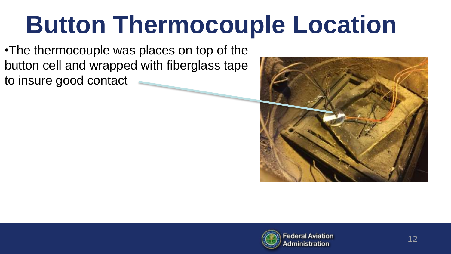## **Button Thermocouple Location**

•The thermocouple was places on top of the button cell and wrapped with fiberglass tape to insure good contact



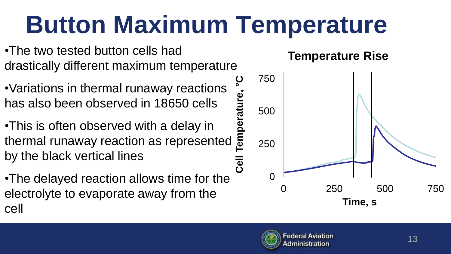## **Button Maximum Temperature**

**°**

- •The two tested button cells had drastically different maximum temperature
- •Variations in thermal runaway reactions has also been observed in 18650 cells
- •This is often observed with a delay in has also been observed in 18650 cells  $\frac{51}{26}$ <br>•This is often observed with a delay in  $\frac{51}{26}$ <br>thermal runaway reaction as represented  $\frac{51}{26}$ by the black vertical lines
- •The delayed reaction allows time for the electrolyte to evaporate away from the cell

#### **Temperature Rise**



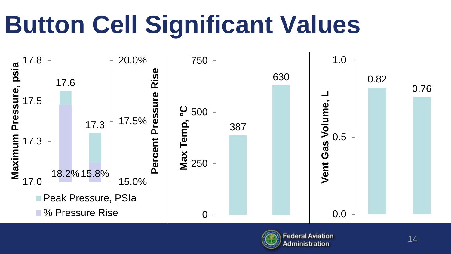# **Button Cell Significant Values**



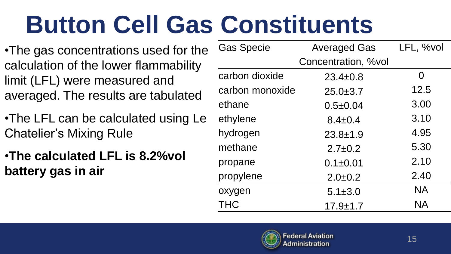# **Button Cell Gas Constituents**

- •The gas concentrations used for the calculation of the lower flammability limit (LFL) were measured and averaged. The results are tabulated
- •The LFL can be calculated using Le Chatelier's Mixing Rule
- •**The calculated LFL is 8.2%vol battery gas in air**

| <b>Gas Specie</b> | <b>Averaged Gas</b> | LFL, %vol |
|-------------------|---------------------|-----------|
|                   | Concentration, %vol |           |
| carbon dioxide    | $23.4 \pm 0.8$      | 0         |
| carbon monoxide   | $25.0 \pm 3.7$      | 12.5      |
| ethane            | $0.5 \pm 0.04$      | 3.00      |
| ethylene          | $8.4 \pm 0.4$       | 3.10      |
| hydrogen          | $23.8 + 1.9$        | 4.95      |
| methane           | $2.7 \pm 0.2$       | 5.30      |
| propane           | $0.1 \pm 0.01$      | 2.10      |
| propylene         | $2.0 \pm 0.2$       | 2.40      |
| oxygen            | $5.1 \pm 3.0$       | <b>NA</b> |
| THC               | $17.9 + 1.7$        | <b>NA</b> |

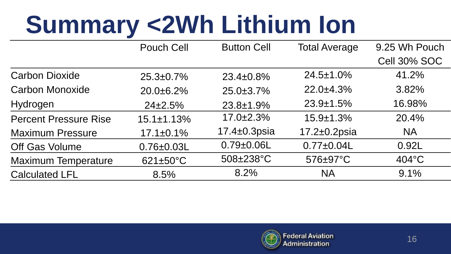# **Summary <2Wh Lithium Ion**

|                              | Pouch Cell             | <b>Button Cell</b> | <b>Total Average</b> | 9.25 Wh Pouch   |
|------------------------------|------------------------|--------------------|----------------------|-----------------|
|                              |                        |                    |                      | Cell 30% SOC    |
| <b>Carbon Dioxide</b>        | $25.3 \pm 0.7\%$       | $23.4 \pm 0.8\%$   | $24.5 \pm 1.0\%$     | 41.2%           |
| <b>Carbon Monoxide</b>       | $20.0 + 6.2%$          | $25.0 \pm 3.7\%$   | $22.0 \pm 4.3\%$     | 3.82%           |
| Hydrogen                     | $24\pm2.5\%$           | $23.8 \pm 1.9\%$   | $23.9 \pm 1.5\%$     | 16.98%          |
| <b>Percent Pressure Rise</b> | $15.1 \pm 1.13\%$      | $17.0 \pm 2.3\%$   | $15.9 \pm 1.3\%$     | 20.4%           |
| <b>Maximum Pressure</b>      | $17.1 \pm 0.1\%$       | $17.4\pm0.3$ psia  | $17.2 \pm 0.2$ psia  | <b>NA</b>       |
| Off Gas Volume               | $0.76 \pm 0.03$ L      | $0.79 \pm 0.06$ L  | $0.77 + 0.04$ L      | 0.92L           |
| <b>Maximum Temperature</b>   | $621 \pm 50^{\circ}$ C | $508 \pm 238$ °C   | 576±97°C             | $404^{\circ}$ C |
| <b>Calculated LFL</b>        | 8.5%                   | 8.2%               | <b>NA</b>            | 9.1%            |

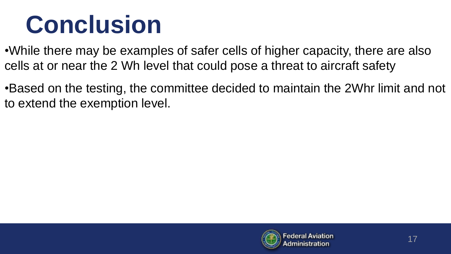### **Conclusion**

•While there may be examples of safer cells of higher capacity, there are also cells at or near the 2 Wh level that could pose a threat to aircraft safety

•Based on the testing, the committee decided to maintain the 2Whr limit and not to extend the exemption level.

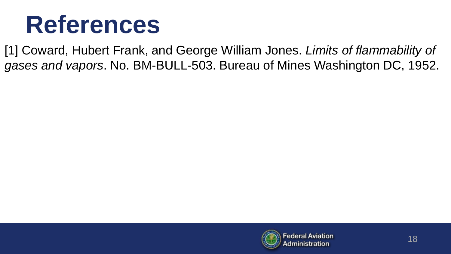#### **References**

[1] Coward, Hubert Frank, and George William Jones. *Limits of flammability of gases and vapors*. No. BM-BULL-503. Bureau of Mines Washington DC, 1952.